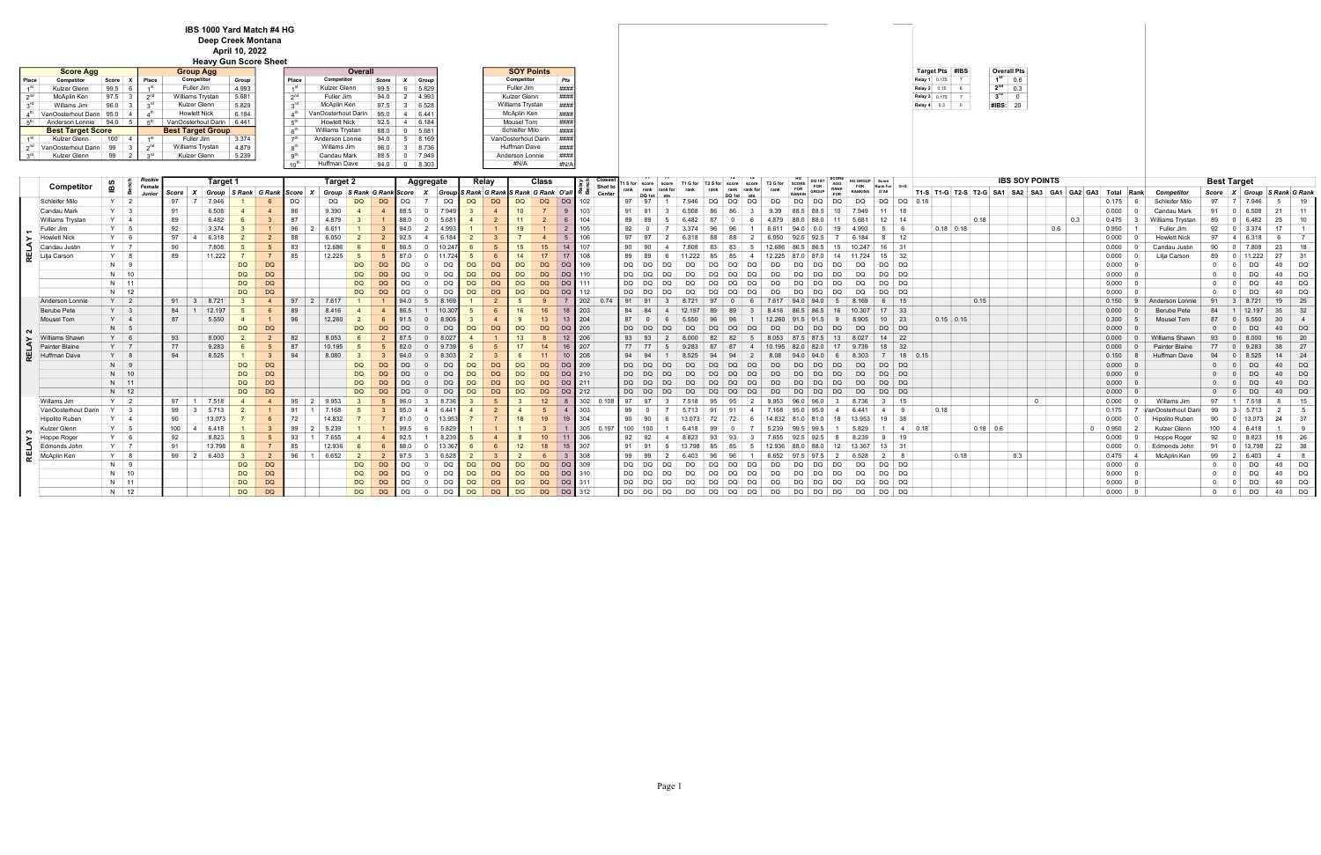|                 | <b>Overall Pts</b> |
|-----------------|--------------------|
| 1 <sup>st</sup> | 0.6                |
| 2 <sup>nd</sup> | 0.3                |
| $3^{\text{rd}}$ | O                  |
| #IBS:           | 20                 |

| Competitor               |                                   |             | Rookie<br>Female |       | Target 1                 |           |                |                             |        | <b>Target 2</b>             |           |           | Aggregate      |           |           |                 | Class                                  |                  | Shot t       |           |          |           |                |     |           |     | HG<br><b>FOR</b>              |                | <b>IG GROUP</b><br><b>FOR</b> | Score<br>Rank For G+S |             |             |                                                   | <b>IBS SOY POINTS</b> |     |                        |            |                |                         | <b>Best Target</b> |                            |                     |                |
|--------------------------|-----------------------------------|-------------|------------------|-------|--------------------------|-----------|----------------|-----------------------------|--------|-----------------------------|-----------|-----------|----------------|-----------|-----------|-----------------|----------------------------------------|------------------|--------------|-----------|----------|-----------|----------------|-----|-----------|-----|-------------------------------|----------------|-------------------------------|-----------------------|-------------|-------------|---------------------------------------------------|-----------------------|-----|------------------------|------------|----------------|-------------------------|--------------------|----------------------------|---------------------|----------------|
|                          |                                   | вs<br>      | ∣∝ă<br>Junio     | Score | X                        |           |                | Group S Rank G Rank Score X |        | Group S Rank G Rank Score X |           |           |                |           |           |                 | Group S Rank G Rank S Rank G Rank O'al |                  | Center       |           |          |           |                |     |           |     | FOR<br><b>GROUP</b><br>RANKIN | <b>FOR</b>     | <b>RANKING</b>                | O'All                 |             |             | T1-S   T1-G   T2-S   T2-G   SA1   SA2   SA3   GA1 |                       |     | GA <sub>2</sub><br>GA3 | Total Rank |                | Competito               | Score X            |                            | Group S Rank G Rank |                |
|                          | Schleifer Milo                    | $Y$ 2       |                  | 97    | 7.946                    |           |                | DQ                          | DQ     | <b>DQ</b>                   | <b>DQ</b> | DQ        | DQ             | <b>DQ</b> | <b>DQ</b> | <b>DQ</b>       | <b>DQ</b>                              | <b>DQ</b>        | 102          | 97        |          |           | DO.            | DO  | <b>DO</b> | DQ  | DQ<br>DQ                      | DQ             | DQ                            | DQ                    | DQ 0.18     |             |                                                   |                       |     |                        | 0.175      | - 6            | Schleifer Milo          | 97                 |                            |                     |                |
|                          | Candau Mark                       | $Y \quad 3$ |                  | 91    | 6.508                    |           |                | 86                          | 9.390  |                             |           |           | 7949           |           |           | 10 <sup>1</sup> |                                        | 103              |              | 91        |          |           |                |     |           |     |                               |                |                               | 11                    | 18          |             |                                                   |                       |     |                        | 0.000      |                | Candau Mark             | 91                 |                            | 21                  |                |
|                          | Williams Trystan                  | $Y \mid 4$  |                  | 89    | 6.482                    |           | -3             | 87                          | 4879   |                             |           |           | 5.68           |           |           |                 |                                        | 104              |              | 89        |          |           |                |     |           |     |                               |                |                               | $12 \mid 14$          |             |             | 0.18                                              |                       |     | 0.3                    | 0.475      |                | <b>Williams Trystan</b> |                    |                            |                     |                |
| $\overline{\phantom{0}}$ | Fuller Jim                        | $Y \mid 5$  |                  | 92    | 3.374                    |           |                | 96                          | 6.611  |                             |           |           | 4.993          |           |           | 19              |                                        | 105              |              | 92        |          |           |                |     |           |     |                               |                |                               |                       |             | $0.18$ 0.18 |                                                   |                       | 0.6 |                        | 0.950      |                | Fuller Jim              | 92                 | n                          |                     |                |
| $\geq$                   | <b>Howlett Nick</b>               | $Y$ 6       |                  | 97    | 6.318                    |           |                |                             | 6.050  |                             |           |           |                |           |           |                 |                                        |                  |              | 97        |          |           |                |     |           |     |                               |                |                               | $8 \mid 12$           |             |             |                                                   |                       |     |                        | 0.000      |                | <b>Howlett Nick</b>     | 97                 |                            |                     |                |
|                          | Candau Justir                     | $Y \mid 7$  |                  | 90    | 7.808                    |           |                | 83                          | 12.686 |                             |           |           | 10.24          |           |           | 15 <sub>1</sub> |                                        | 107              |              | 90        |          |           |                |     |           |     |                               |                |                               | $16$ 31               |             |             |                                                   |                       |     |                        | 0.000      |                | Candau Justin           | 90                 | $\cap$                     |                     |                |
| 꾠                        | Lilja Carson                      | Y 8         |                  | 89    | 11.222                   |           |                | 85                          | 12.225 |                             |           | 87.0      |                |           |           |                 |                                        | 10 <sup>5</sup>  |              | 89        |          |           |                |     |           |     |                               |                |                               | $15 \mid 32$          |             |             |                                                   |                       |     |                        | 0.000      | - 0            | Lilja Carson            | 89                 |                            |                     |                |
|                          |                                   | N 9         |                  |       |                          | <b>DQ</b> | <b>DQ</b>      |                             |        | DQ                          | <b>DQ</b> | DQ        | DO             | <b>DQ</b> | <b>DQ</b> | <b>DQ</b>       | DQ.                                    | DQ<br>109        |              | DO        |          |           |                |     |           |     |                               |                |                               | DQ                    | DQ          |             |                                                   |                       |     |                        | 0.000      | $\overline{0}$ |                         |                    |                            |                     | DQ             |
|                          |                                   | N 10        |                  |       |                          | <b>DQ</b> | <b>DQ</b>      |                             |        | <b>DQ</b>                   | DQ        | DQ        | DQ             | <b>DQ</b> | <b>DQ</b> | DQ              | <b>DQ</b>                              | <b>DQ</b><br>110 |              | DQ        |          |           |                |     |           |     | מח                            |                |                               | DQ                    | DQ          |             |                                                   |                       |     |                        | 0.000      | $\overline{0}$ |                         |                    |                            |                     | ററ             |
|                          |                                   | N 11        |                  |       |                          | <b>DQ</b> | <b>DQ</b>      |                             |        | <b>DQ</b>                   | <b>DQ</b> | DQ        | DQ             | <b>DQ</b> | <b>DQ</b> | <b>DQ</b>       | <b>DQ</b>                              | <b>DQ</b><br>111 |              | DQ        |          |           |                |     |           | DQ  | DO.<br>DO                     | DC             | DQ                            | DQ                    | DQ          |             |                                                   |                       |     |                        | $0.000$ 0  |                |                         |                    |                            |                     | DQ             |
|                          |                                   | N 12        |                  |       |                          | <b>DQ</b> | <b>DQ</b>      |                             |        | DQ                          | <b>DQ</b> | DQ        | DQ             | <b>DQ</b> | <b>DQ</b> | <b>DQ</b>       | <b>DQ</b>                              | <b>DQ</b>        | 112          | DQ        |          |           |                |     |           | DQ  | DO.<br>DC.                    |                | DQ                            | DQ                    | DQ          |             |                                                   |                       |     |                        | 0.000      | $\overline{0}$ |                         | $\Omega$           |                            |                     | ററ             |
|                          | Anderson Lonnie                   | $Y$ 2       |                  | 91    | 8.721<br>$\vert 3 \vert$ |           | $\overline{4}$ | 97                          | 7.617  |                             |           |           |                |           |           |                 |                                        |                  | 202          | 91        |          |           |                |     |           |     |                               |                |                               |                       | 15          |             | 0.15                                              |                       |     |                        | 0.150      |                | Anderson Lonnie         |                    |                            |                     |                |
|                          | Berube Pete                       | $Y \mid 3$  |                  | 84    | 12.197                   |           | - 6            | 89                          | 8.416  |                             |           |           | 10.30          |           |           | 16              | 16                                     | 203<br>18        |              | 84        |          |           |                |     |           |     |                               |                |                               | $17 \quad 33$         |             |             |                                                   |                       |     |                        | 0.000      |                | <b>Berube Pete</b>      |                    | 12.19                      |                     | -32            |
|                          | Mousel Tom                        | $Y \mid 4$  |                  | 87    | 5.550                    |           |                |                             | 12.260 |                             |           | 91.5      | 8.905          |           |           |                 | 13                                     | 204<br>13        |              | 87        |          |           |                |     |           |     |                               |                |                               | $10 \quad 23$         |             | $0.15$ 0.15 |                                                   |                       |     |                        | 0.300      |                | <b>Mousel Tom</b>       | 87                 | $\cap$                     |                     |                |
| $\sim$                   |                                   | $N \quad 5$ |                  |       |                          | DQ        | <b>DQ</b>      |                             |        | DC                          | DQ        | DQ        | D <sub>C</sub> | <b>DQ</b> | <b>DQ</b> | <b>DQ</b>       | <b>DQ</b>                              | <b>DQ</b><br>205 |              | <b>DQ</b> |          |           |                |     |           |     | מח                            |                |                               | DQ                    | DQ          |             |                                                   |                       |     |                        | 0.000      |                |                         |                    | $\sqrt{ }$                 |                     | DQ             |
| $\rightarrow$            | Williams Shawn                    | $Y$ 6       |                  | 93    | 8.000                    |           |                | 82                          | 8.053  |                             |           |           |                |           |           |                 |                                        | 206              |              | 93        | <b>9</b> |           |                |     |           |     |                               |                |                               | $14 \quad 22$         |             |             |                                                   |                       |     |                        | 0.000      |                | <b>Williams Shawn</b>   | 93                 |                            |                     |                |
|                          | Painter Blaine                    | $Y$ 7       |                  | 77    | 9.283                    |           | - 5            | 87                          | 10.195 |                             |           |           | 9.73           |           |           |                 |                                        | 207              |              | 77        |          |           |                |     |           |     |                               |                |                               | 18                    | 32          |             |                                                   |                       |     |                        | 0.000      |                | Painter Blaine          |                    | $\Omega$                   |                     |                |
| 퓒                        | Huffman Dave                      | $Y$ 8       |                  | 94    | 8.525                    |           | $\mathbf{3}$   |                             | 8.080  |                             |           | 94 O      | 8.303          |           |           |                 |                                        | 208              |              | 94        |          |           |                |     |           |     |                               |                |                               |                       | $18 \ 0.15$ |             |                                                   |                       |     |                        | 0.150      |                | <b>Huffman Dave</b>     |                    |                            |                     |                |
|                          |                                   | $N$ 9       |                  |       |                          | <b>DQ</b> | <b>DQ</b>      |                             |        | <b>DQ</b>                   | DQ        | DQ        | DQ             | <b>DQ</b> | <b>DQ</b> | DQ              | <b>DQ</b>                              | DQ  <br>209      |              | DQ        | DQ.      | DQ.       |                |     |           |     | DC.<br>DQ.                    |                | DQ                            | DQ                    | DQ          |             |                                                   |                       |     |                        | 0.000      | $\overline{0}$ |                         |                    | D <sub>O</sub><br>$\Omega$ | 40                  | DQ             |
|                          |                                   | N 10        |                  |       |                          | <b>DQ</b> | DQ             |                             |        | <b>DQ</b>                   | DQ        | <b>DQ</b> | DQ             | <b>DQ</b> | <b>DQ</b> | <b>DQ</b>       | <b>DQ</b>                              | DQ 210           |              | <b>DQ</b> | DQ       | DQ.       | D <sub>Q</sub> |     |           | DC. | DC.<br>DQ.                    |                | DQ                            | DQ                    | DQ          |             |                                                   |                       |     |                        | 0.000      | $\overline{0}$ |                         |                    |                            | 40                  | D <sub>O</sub> |
|                          |                                   | $N$ 11      |                  |       |                          | DQ        | DQ             |                             |        | <b>DQ</b>                   | <b>DQ</b> | DQ        | DQ             | <b>DQ</b> | <b>DQ</b> | <b>DQ</b>       | <b>DQ</b>                              | DQ  <br>211      |              | DQ        | DQ.      |           | D <sub>Q</sub> | DQ  |           | DQ  | DQ.<br>DQ                     | D <sub>C</sub> | DQ                            | DQ                    | DQ          |             |                                                   |                       |     |                        | $0.000$ 0  |                |                         |                    |                            |                     | DQ             |
|                          |                                   | $N$ 12      |                  |       |                          | <b>DQ</b> | <b>DQ</b>      |                             |        | <b>DQ</b>                   | <b>DQ</b> | DQ        | DQ             | <b>DQ</b> | <b>DQ</b> | <b>DQ</b>       | <b>DQ</b>                              | <b>DQ</b><br>212 |              | <b>DQ</b> |          |           |                |     |           |     | DQ                            |                | DQ                            | DQ                    | DQ          |             |                                                   |                       |     |                        | 0.000      | $\overline{0}$ |                         |                    |                            |                     | DQ             |
|                          | Willams Jim                       | $Y$ 2       |                  | 97    | 7.518                    |           |                | 95                          | 9.953  |                             |           |           | 8.736          |           |           |                 | 12                                     |                  | 302<br>0.108 | 97        |          |           |                |     |           |     |                               |                |                               | $3 \mid 15$           |             |             |                                                   | $\overline{0}$        |     |                        | 0.000      |                | Willams Jim             | 97                 |                            |                     |                |
|                          | VanOosterhout Darin               | $Y \mid 3$  |                  | 99    | 5.713                    |           |                |                             |        |                             |           |           | 6.44           |           |           |                 |                                        | 303              |              | 99        |          |           |                |     |           |     |                               |                |                               |                       |             | 0.18        |                                                   |                       |     |                        | 0.175      |                | VanOosterhout Da        |                    |                            |                     |                |
|                          | <b>Hipolito Ruben</b>             | $Y \mid 4$  |                  | 90    | 13.073                   |           |                | 72                          | 14.832 |                             |           |           | 13 95          |           |           | 18              |                                        | 30/              |              | 90        |          |           |                |     |           |     |                               |                |                               | 19 38                 |             |             |                                                   |                       |     |                        | 0.000      |                | <b>Hipolito Ruber</b>   |                    |                            |                     |                |
| ო                        | Kulzer Glenn                      | $Y \mid 5$  |                  | 100   | 6.418                    |           |                | 99                          | 5.239  |                             |           | 99.5      | 5.829          |           |           |                 |                                        |                  | 305          | 100       |          |           |                |     |           |     |                               |                |                               |                       | $4 \t 0.18$ |             | $0.18$ 0.6                                        |                       |     | $0 \mid 0.950$         |            |                | Kulzer Glenn            | 100                |                            |                     |                |
|                          | $\blacktriangleright$ Hoppe Roger | $Y \quad 6$ |                  | 92    | 8.823                    |           | 5              | 93                          | 7.655  |                             |           |           | 8.23           |           |           |                 |                                        |                  |              | 92        |          |           |                |     |           |     |                               |                |                               |                       | 19          |             |                                                   |                       |     |                        | 0.000      |                | Hoppe Roger             | 92                 | റ                          |                     |                |
|                          | Edmonds John                      | $Y \mid 7$  |                  | 91    | 13.798                   |           |                | 85                          | 12.936 |                             |           | 88.0      |                |           |           | 12              |                                        | 307              |              | 91        |          |           |                |     |           |     |                               |                |                               | $13 \mid 31$          |             |             |                                                   |                       |     |                        | 0.000      |                | Edmonds John            |                    |                            |                     |                |
| 뷙                        | McAplin Ken                       | $Y$ 8       |                  | 99    | 6.403<br>$\vert$ 2       |           | $\overline{2}$ | 96<br>$\overline{1}$        | 6.652  |                             |           | 97.5      |                |           |           |                 |                                        | 308              |              | 99        |          |           |                |     |           |     |                               |                |                               | $2 \mid 8$            |             | 0.18        | 0.3                                               |                       |     |                        | 0.475      |                | McAplin Ken             | 99                 |                            |                     |                |
|                          |                                   | N 9         |                  |       |                          | DQ        | <b>DQ</b>      |                             |        | <b>DQ</b>                   | <b>DQ</b> | DQ        | DQ             | <b>DQ</b> | <b>DQ</b> | <b>DQ</b>       | <b>DQ</b>                              | DQ<br>309        |              | DQ        |          |           |                |     |           |     | מח                            |                | DQ                            | DQ                    | DQ          |             |                                                   |                       |     |                        | 0.000      | $\overline{0}$ |                         | $\Omega$           |                            | 40                  | DQ             |
|                          |                                   | N 10        |                  |       |                          | <b>DQ</b> | <b>DQ</b>      |                             |        | <b>DQ</b>                   | <b>DQ</b> | DQ        | DQ<br>$\Omega$ | <b>DQ</b> | <b>DQ</b> | <b>DQ</b>       | <b>DQ</b>                              | DQ  <br>310      |              | DQ        | DQ       |           |                |     |           | DQ  | DQ<br>DQ                      | DQ             | <b>DQ</b>                     | DQ                    | DQ          |             |                                                   |                       |     |                        | $0.000$ 0  |                |                         | $\Omega$           |                            | 40                  | DQ             |
|                          |                                   | N 11        |                  |       |                          | <b>DQ</b> | <b>DQ</b>      |                             |        | <b>DQ</b>                   | <b>DQ</b> | DQ        | DQ<br>$\Omega$ | <b>DQ</b> | <b>DQ</b> | <b>DQ</b>       | <b>DQ</b>                              | DQ 311           |              | DQ        | DQ       | DQ<br>DO. | DQ             | DO. | DQ        | DQ  | DQ<br>DQ                      | DQ             | DQ                            | DQ                    | DQ          |             |                                                   |                       |     |                        | $0.000$ 0  |                |                         | $\Omega$           | DQ<br>$\Omega$             | 40                  | DQ             |
|                          |                                   | $N$ 12      |                  |       |                          | <b>DQ</b> | <b>DQ</b>      |                             |        | <b>DQ</b>                   | <b>DQ</b> | DQ        | DQ<br>$\Omega$ | <b>DQ</b> | <b>DQ</b> | DQ              | <b>DQ</b>                              | DQ 312           |              |           | DQ DQ    | DQ<br>DQ  | DQ             | DQ  | DQ        | DQ  | DQ<br>DQ                      | DQ             | DQ                            | DQ DQ                 |             |             |                                                   |                       |     |                        | $0.000$ 0  |                |                         | $\Omega$           | DQ<br>0                    | 40                  | DQ             |

IBS 1000 Yard Match #4 HG Deep Creek Montana April 10, 2022

|                        |                          |       |       | <b>Heavy Gun Score Sheet</b> |       |                 |                     |          |       |                     |              |
|------------------------|--------------------------|-------|-------|------------------------------|-------|-----------------|---------------------|----------|-------|---------------------|--------------|
|                        | <b>Score Agg</b>         |       |       | <b>Group Agg</b>             |       |                 | Overall             |          |       | <b>SOY Points</b>   |              |
| Place                  | Competitor               | Score | Place | Competitor                   | Group | Place           | Competitor          | Score X  | Group | Competitor          | Pts          |
| 4 SL                   | Kulzer Glenn             | 99.5  |       | Fuller Jim                   | 4.993 | 4 <sub>st</sub> | Kulzer Glenn        | 99.5     | 5.829 | Fuller Jim          | ####         |
| $n$ nd                 | McAplin Ken              | 97.5  |       | Williams Trystan             | 5.681 | $\gamma$ nd     | Fuller Jim          | 94.0     | 4.993 | Kulzer Glenn        | ###          |
| $3^{\text{rd}}$        | Willams Jim              | 96.0  |       | Kulzer Glenn                 | 5.829 | $\sim$ rd       | McAplin Ken         | 97.5     | 6.528 | Williams Trystan    | $\#$ ##      |
|                        | VanOosterhout Darin 95.0 |       |       | <b>Howlett Nick</b>          | 6.184 |                 | VanOosterhout Darin | 95.0     | 6.441 | McAplin Ken         | ####         |
| . 5Պ                   | Anderson Lonnie 94.0     |       |       | VanOosterhout Darin   6.441  |       | $E^{\text{th}}$ | <b>Howlett Nick</b> | 92.5     | 6.184 | Mousel Tom          | ####         |
|                        | <b>Best Target Score</b> |       |       | <b>Best Target Group</b>     |       | ∽.tt            | Williams Trystan    | 88.0     | 5.681 | Schleifer Milo      | ####         |
|                        | Kulzer Glenn             | 100   |       | Fuller Jim                   | 3.374 |                 | Anderson Lonnie     | 94.0     | 8.169 | VanOosterhout Darin | ###          |
| $\gamma$ <sup>nd</sup> | VanOosterhout Darin      | 99    |       | Williams Trystan             | 4.879 | ∽m              | Willams Jim         | 96.0     | 8.736 | Huffman Dave        | ###          |
| $3^{\text{rd}}$        | Kulzer Glenn             | 99    | ∽ra   | Kulzer Glenn                 | 5.239 | ∽th             | Candau Mark         | 88.5     | 7.949 | Anderson Lonnie     | ####         |
|                        |                          |       |       |                              |       | $10^{th}$       | Huffman Dave        | $94.0$ 0 | 8.303 | #N/A                | $\sharp N/A$ |
|                        |                          |       |       |                              |       |                 |                     |          |       |                     |              |